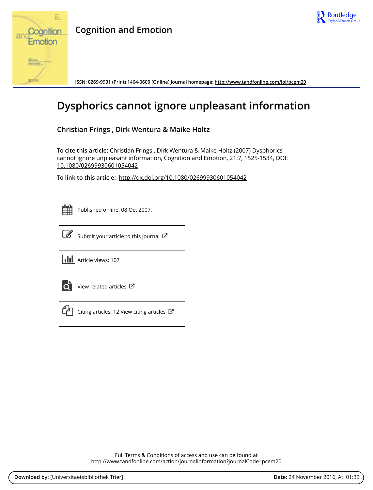



## **Cognition and Emotion**

**ISSN: 0269-9931 (Print) 1464-0600 (Online) Journal homepage:<http://www.tandfonline.com/loi/pcem20>**

# **Dysphorics cannot ignore unpleasant information**

**Christian Frings , Dirk Wentura & Maike Holtz**

**To cite this article:** Christian Frings , Dirk Wentura & Maike Holtz (2007) Dysphorics cannot ignore unpleasant information, Cognition and Emotion, 21:7, 1525-1534, DOI: [10.1080/02699930601054042](http://www.tandfonline.com/action/showCitFormats?doi=10.1080/02699930601054042)

**To link to this article:** <http://dx.doi.org/10.1080/02699930601054042>



Published online: 08 Oct 2007.



 $\overrightarrow{S}$  [Submit your article to this journal](http://www.tandfonline.com/action/authorSubmission?journalCode=pcem20&show=instructions)  $G$ 

**III** Article views: 107



 $\overrightarrow{Q}$  [View related articles](http://www.tandfonline.com/doi/mlt/10.1080/02699930601054042)  $\overrightarrow{C}$ 



[Citing articles: 12 View citing articles](http://www.tandfonline.com/doi/citedby/10.1080/02699930601054042#tabModule)  $\mathbb{Z}$ 

Full Terms & Conditions of access and use can be found at <http://www.tandfonline.com/action/journalInformation?journalCode=pcem20>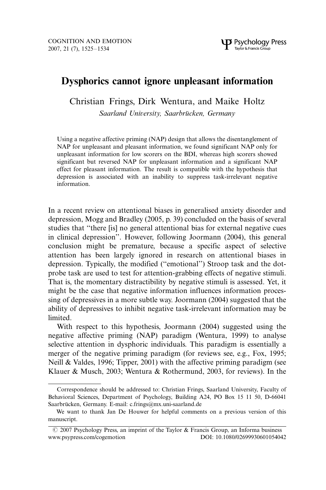### Dysphorics cannot ignore unpleasant information

Christian Frings, Dirk Wentura, and Maike Holtz

Saarland University, Saarbrücken, Germany

Using a negative affective priming (NAP) design that allows the disentanglement of NAP for unpleasant and pleasant information, we found significant NAP only for unpleasant information for low scorers on the BDI, whereas high scorers showed significant but reversed NAP for unpleasant information and a significant NAP effect for pleasant information. The result is compatible with the hypothesis that depression is associated with an inability to suppress task-irrelevant negative information.

In a recent review on attentional biases in generalised anxiety disorder and depression, Mogg and Bradley (2005, p. 39) concluded on the basis of several studies that ''there [is] no general attentional bias for external negative cues in clinical depression''. However, following Joormann (2004), this general conclusion might be premature, because a specific aspect of selective attention has been largely ignored in research on attentional biases in depression. Typically, the modified (''emotional'') Stroop task and the dotprobe task are used to test for attention-grabbing effects of negative stimuli. That is, the momentary distractibility by negative stimuli is assessed. Yet, it might be the case that negative information influences information processing of depressives in a more subtle way. Joormann (2004) suggested that the ability of depressives to inhibit negative task-irrelevant information may be limited.

With respect to this hypothesis, Joormann (2004) suggested using the negative affective priming (NAP) paradigm (Wentura, 1999) to analyse selective attention in dysphoric individuals. This paradigm is essentially a merger of the negative priming paradigm (for reviews see, e.g., Fox, 1995; Neill & Valdes, 1996; Tipper, 2001) with the affective priming paradigm (see Klauer & Musch, 2003; Wentura & Rothermund, 2003, for reviews). In the

Correspondence should be addressed to: Christian Frings, Saarland University, Faculty of Behavioral Sciences, Department of Psychology, Building A24, PO Box 15 11 50, D-66041 Saarbrücken, Germany. E-mail: c.frings@mx.uni-saarland.de

We want to thank Jan De Houwer for helpful comments on a previous version of this manuscript.

 $\odot$  2007 Psychology Press, an imprint of the Taylor & Francis Group, an Informa business www.psypress.com/cogemotion DOI: 10.1080/02699930601054042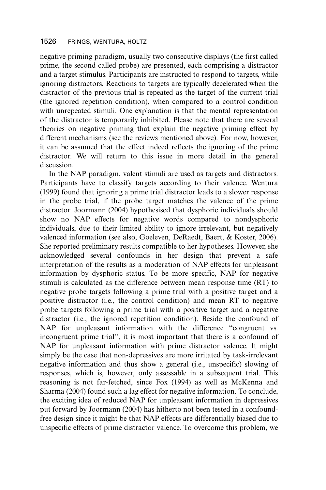negative priming paradigm, usually two consecutive displays (the first called prime, the second called probe) are presented, each comprising a distractor and a target stimulus. Participants are instructed to respond to targets, while ignoring distractors. Reactions to targets are typically decelerated when the distractor of the previous trial is repeated as the target of the current trial (the ignored repetition condition), when compared to a control condition with unrepeated stimuli. One explanation is that the mental representation of the distractor is temporarily inhibited. Please note that there are several theories on negative priming that explain the negative priming effect by different mechanisms (see the reviews mentioned above). For now, however, it can be assumed that the effect indeed reflects the ignoring of the prime distractor. We will return to this issue in more detail in the general discussion.

In the NAP paradigm, valent stimuli are used as targets and distractors. Participants have to classify targets according to their valence. Wentura (1999) found that ignoring a prime trial distractor leads to a slower response in the probe trial, if the probe target matches the valence of the prime distractor. Joormann (2004) hypothesised that dysphoric individuals should show no NAP effects for negative words compared to nondysphoric individuals, due to their limited ability to ignore irrelevant, but negatively valenced information (see also, Goeleven, DeRaedt, Baert, & Koster, 2006). She reported preliminary results compatible to her hypotheses. However, she acknowledged several confounds in her design that prevent a safe interpretation of the results as a moderation of NAP effects for unpleasant information by dysphoric status. To be more specific, NAP for negative stimuli is calculated as the difference between mean response time (RT) to negative probe targets following a prime trial with a positive target and a positive distractor (i.e., the control condition) and mean RT to negative probe targets following a prime trial with a positive target and a negative distractor (i.e., the ignored repetition condition). Beside the confound of NAP for unpleasant information with the difference ''congruent vs. incongruent prime trial'', it is most important that there is a confound of NAP for unpleasant information with prime distractor valence. It might simply be the case that non-depressives are more irritated by task-irrelevant negative information and thus show a general (i.e., unspecific) slowing of responses, which is, however, only assessable in a subsequent trial. This reasoning is not far-fetched, since Fox (1994) as well as McKenna and Sharma (2004) found such a lag effect for negative information. To conclude, the exciting idea of reduced NAP for unpleasant information in depressives put forward by Joormann (2004) has hitherto not been tested in a confoundfree design since it might be that NAP effects are differentially biased due to unspecific effects of prime distractor valence. To overcome this problem, we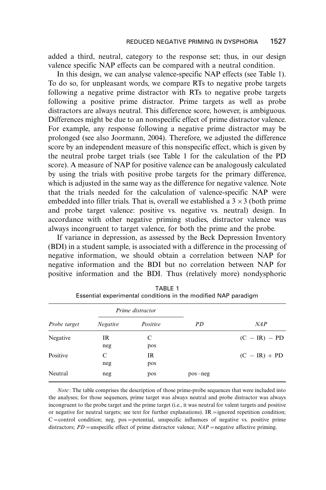added a third, neutral, category to the response set; thus, in our design valence specific NAP effects can be compared with a neutral condition.

In this design, we can analyse valence-specific NAP effects (see Table 1). To do so, for unpleasant words, we compare RTs to negative probe targets following a negative prime distractor with RTs to negative probe targets following a positive prime distractor. Prime targets as well as probe distractors are always neutral. This difference score, however, is ambiguous. Differences might be due to an nonspecific effect of prime distractor valence. For example, any response following a negative prime distractor may be prolonged (see also Joormann, 2004). Therefore, we adjusted the difference score by an independent measure of this nonspecific effect, which is given by the neutral probe target trials (see Table 1 for the calculation of the PD score). A measure of NAP for positive valence can be analogously calculated by using the trials with positive probe targets for the primary difference, which is adjusted in the same way as the difference for negative valence. Note that the trials needed for the calculation of valence-specific NAP were embedded into filler trials. That is, overall we established a  $3 \times 3$  (both prime and probe target valence: positive vs. negative vs. neutral) design. In accordance with other negative priming studies, distractor valence was always incongruent to target valence, for both the prime and the probe.

If variance in depression, as assessed by the Beck Depression Inventory (BDI) in a student sample, is associated with a difference in the processing of negative information, we should obtain a correlation between NAP for negative information and the BDI but no correlation between NAP for positive information and the BDI. Thus (relatively more) nondysphoric

| Probe target |                 | Prime distractor |           |                 |  |  |
|--------------|-----------------|------------------|-----------|-----------------|--|--|
|              | <b>Negative</b> | Positive         | PD        | NAP             |  |  |
| Negative     | IR<br>neg       | C<br>pos         |           | $(C - IR) - PD$ |  |  |
| Positive     | C<br>neg        | IR<br>pos        |           | $(C - IR) + PD$ |  |  |
| Neutral      | neg             | pos              | $pos-neg$ |                 |  |  |

TABLE 1 Essential experimental conditions in the modified NAP paradigm

Note: The table comprises the description of those prime-probe sequences that were included into the analyses; for those sequences, prime target was always neutral and probe distractor was always incongruent to the probe target and the prime target (i.e., it was neutral for valent targets and positive or negative for neutral targets; see text for further explanations). IR = ignored repetition condition;  $C =$ control condition; neg, pos = potential, unspecific influences of negative vs. positive prime distractors;  $PD$  = unspecific effect of prime distractor valence;  $NAP$  = negative affective priming.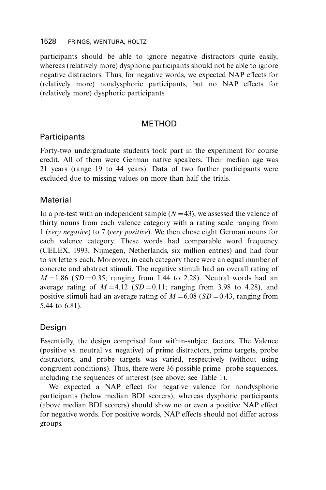participants should be able to ignore negative distractors quite easily, whereas (relatively more) dysphoric participants should not be able to ignore negative distractors. Thus, for negative words, we expected NAP effects for (relatively more) nondysphoric participants, but no NAP effects for (relatively more) dysphoric participants.

#### **METHOD**

#### **Participants**

Forty-two undergraduate students took part in the experiment for course credit. All of them were German native speakers. Their median age was 21 years (range 19 to 44 years). Data of two further participants were excluded due to missing values on more than half the trials.

#### **Material**

In a pre-test with an independent sample  $(N=43)$ , we assessed the valence of thirty nouns from each valence category with a rating scale ranging from 1 (very negative) to 7 (very positive). We then chose eight German nouns for each valence category. These words had comparable word frequency (CELEX, 1993, Nijmegen, Netherlands, six million entries) and had four to six letters each. Moreover, in each category there were an equal number of concrete and abstract stimuli. The negative stimuli had an overall rating of  $M=1.86$  (SD = 0.35; ranging from 1.44 to 2.28). Neutral words had an average rating of  $M=4.12$  (SD = 0.11; ranging from 3.98 to 4.28), and positive stimuli had an average rating of  $M=6.08$  (SD = 0.43, ranging from 5.44 to 6.81).

#### Design

Essentially, the design comprised four within-subject factors. The Valence (positive vs. neutral vs. negative) of prime distractors, prime targets, probe distractors, and probe targets was varied, respectively (without using congruent conditions). Thus, there were 36 possible prime-probe sequences, including the sequences of interest (see above; see Table 1).

We expected a NAP effect for negative valence for nondysphoric participants (below median BDI scorers), whereas dysphoric participants (above median BDI scorers) should show no or even a positive NAP effect for negative words. For positive words, NAP effects should not differ across groups.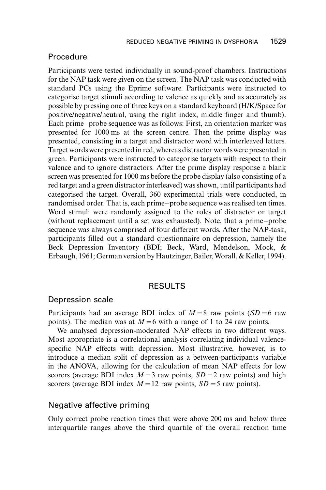#### Procedure

Participants were tested individually in sound-proof chambers. Instructions for the NAP task were given on the screen. The NAP task was conducted with standard PCs using the Eprime software. Participants were instructed to categorise target stimuli according to valence as quickly and as accurately as possible by pressing one of three keys on a standard keyboard (H/K/Space for positive/negative/neutral, using the right index, middle finger and thumb). Each prime-probe sequence was as follows: First, an orientation marker was presented for 1000 ms at the screen centre. Then the prime display was presented, consisting in a target and distractor word with interleaved letters. Target wordswere presented in red, whereas distractor wordswere presented in green. Participants were instructed to categorise targets with respect to their valence and to ignore distractors. After the prime display response a blank screen was presented for 1000 ms before the probe display (also consisting of a red target and a green distractor interleaved) was shown, until participants had categorised the target. Overall, 360 experimental trials were conducted, in randomised order. That is, each prime-probe sequence was realised ten times. Word stimuli were randomly assigned to the roles of distractor or target (without replacement until a set was exhausted). Note, that a prime-probe sequence was always comprised of four different words. After the NAP-task, participants filled out a standard questionnaire on depression, namely the Beck Depression Inventory (BDI; Beck, Ward, Mendelson, Mock, & Erbaugh, 1961; German version by Hautzinger, Bailer, Worall, & Keller, 1994).

#### **RESULTS**

#### Depression scale

Participants had an average BDI index of  $M=8$  raw points (SD = 6 raw points). The median was at  $M=6$  with a range of 1 to 24 raw points.

We analysed depression-moderated NAP effects in two different ways. Most appropriate is a correlational analysis correlating individual valencespecific NAP effects with depression. Most illustrative, however, is to introduce a median split of depression as a between-participants variable in the ANOVA, allowing for the calculation of mean NAP effects for low scorers (average BDI index  $M=3$  raw points,  $SD=2$  raw points) and high scorers (average BDI index  $M=12$  raw points,  $SD=5$  raw points).

#### Negative affective priming

Only correct probe reaction times that were above 200 ms and below three interquartile ranges above the third quartile of the overall reaction time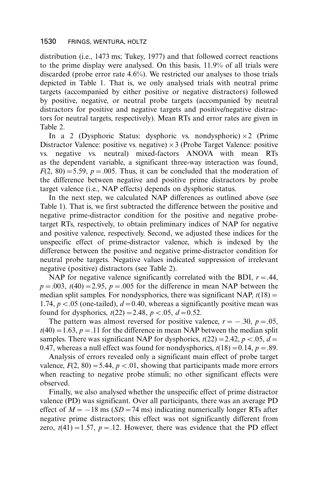distribution (i.e., 1473 ms; Tukey, 1977) and that followed correct reactions to the prime display were analysed. On this basis, 11.9% of all trials were discarded (probe error rate 4.6%). We restricted our analyses to those trials depicted in Table 1. That is, we only analysed trials with neutral prime targets (accompanied by either positive or negative distractors) followed by positive, negative, or neutral probe targets (accompanied by neutral distractors for positive and negative targets and positive/negative distractors for neutral targets, respectively). Mean RTs and error rates are given in Table 2.

In a 2 (Dysphoric Status: dysphoric vs. nondysphoric)  $\times$  2 (Prime Distractor Valence: positive vs. negative)  $\times$  3 (Probe Target Valence: positive vs. negative vs. neutral) mixed-factors ANOVA with mean RTs as the dependent variable, a significant three-way interaction was found,  $F(2, 80) = 5.59$ ,  $p = .005$ . Thus, it can be concluded that the moderation of the difference between negative and positive prime distractors by probe target valence (i.e., NAP effects) depends on dysphoric status.

In the next step, we calculated NAP differences as outlined above (see Table 1). That is, we first subtracted the difference between the positive and negative prime-distractor condition for the positive and negative probetarget RTs, respectively, to obtain preliminary indices of NAP for negative and positive valence, respectively. Second, we adjusted these indices for the unspecific effect of prime-distractor valence, which is indexed by the difference between the positive and negative prime-distractor condition for neutral probe targets. Negative values indicated suppression of irrelevant negative (positive) distractors (see Table 2).

NAP for negative valence significantly correlated with the BDI,  $r = .44$ ,  $p=.003$ ,  $t(40)=2.95$ ,  $p=.005$  for the difference in mean NAP between the median split samples. For nondysphorics, there was significant NAP,  $t(18)$  = 1.74,  $p < .05$  (one-tailed),  $d = 0.40$ , whereas a significantly positive mean was found for dysphorics,  $t(22) = 2.48$ ,  $p < .05$ ,  $d = 0.52$ .

The pattern was almost reversed for positive valence,  $r = -.30$ ,  $p = .05$ ,  $t(40) = 1.63$ ,  $p = 0.11$  for the difference in mean NAP between the median split samples. There was significant NAP for dysphorics,  $t(22) = 2.42$ ,  $p < .05$ ,  $d =$ 0.47, whereas a null effect was found for nondysphorics,  $t(18) = 0.14$ ,  $p = .89$ .

Analysis of errors revealed only a significant main effect of probe target valence,  $F(2, 80) = 5.44$ ,  $p < .01$ , showing that participants made more errors when reacting to negative probe stimuli; no other significant effects were observed.

Finally, we also analysed whether the unspecific effect of prime distractor valence (PD) was significant. Over all participants, there was an average PD effect of  $M = -18$  ms ( $SD = 74$  ms) indicating numerically longer RTs after negative prime distractors; this effect was not significantly different from zero,  $t(41) = 1.57$ ,  $p = .12$ . However, there was evidence that the PD effect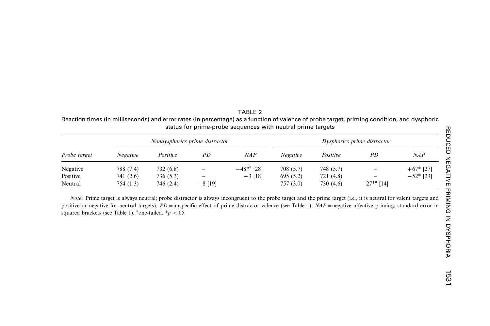| Reaction times (in milliseconds) and error rates (in percentage) as a function of valence of probe target, priming condition, and dysphoric<br>status for prime-probe sequences with neutral prime targets |                                |           |    |                 |                             |           |                          |             |  |  |  |
|------------------------------------------------------------------------------------------------------------------------------------------------------------------------------------------------------------|--------------------------------|-----------|----|-----------------|-----------------------------|-----------|--------------------------|-------------|--|--|--|
| Probe target                                                                                                                                                                                               | Nondysphorics prime distractor |           |    |                 | Dysphorics prime distractor |           |                          |             |  |  |  |
|                                                                                                                                                                                                            | Negative                       | Positive  | PD | NAP             | Negative                    | Positive  | PD                       | NAP         |  |  |  |
| Negative                                                                                                                                                                                                   | 788 (7.4)                      | 732 (6.8) |    | $-48^{*a}$ [28] | 708 (5.7)                   | 748 (5.7) | $\overline{\phantom{m}}$ | $+67*$ [27] |  |  |  |

TABLE 2

Note: Prime target is always neutral; probe distractor is always incongruent to the probe target and the prime target (i.e., it is neutral for valent targets and positive or negative for neutral targets).  $PD$  = unspecific effect of prime distractor valence (see Table 1);  $NAP$  = negative affective priming; standard error in squared brackets (see Table 1). <sup>a</sup>one-tailed.  $* p < .05$ .

Positive 741 (2.6) 736 (5.3) *- - -* 3 [18] 695 (5.2) 721 (4.8) - *-* 52\* [23] Neutral 754 (1.3) 746 (2.4) /8 [19] 757 (3.0) 730 (4.6) /27\*a [14]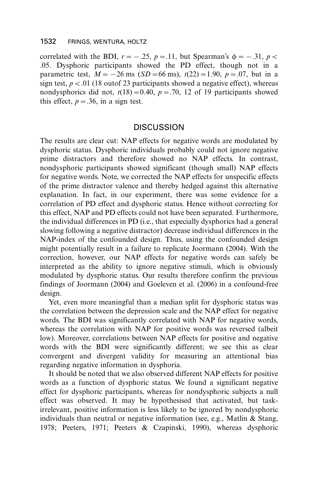correlated with the BDI,  $r = -.25$ ,  $p = .11$ , but Spearman's  $\phi = -.31$ ,  $p <$ .05. Dysphoric participants showed the PD effect, though not in a parametric test,  $M = -26$  ms ( $SD = 66$  ms),  $t(22) = 1.90$ ,  $p = .07$ , but in a sign test,  $p < .01$  (18 outof 23 participants showed a negative effect), whereas nondysphorics did not,  $t(18) = 0.40$ ,  $p = .70$ , 12 of 19 participants showed this effect,  $p = .36$ , in a sign test.

#### DISCUSSION

The results are clear cut: NAP effects for negative words are modulated by dysphoric status. Dysphoric individuals probably could not ignore negative prime distractors and therefore showed no NAP effects. In contrast, nondysphoric participants showed significant (though small) NAP effects for negative words. Note, we corrected the NAP effects for unspecific effects of the prime distractor valence and thereby hedged against this alternative explanation. In fact, in our experiment, there was some evidence for a correlation of PD effect and dysphoric status. Hence without correcting for this effect, NAP and PD effects could not have been separated. Furthermore, the individual differences in PD (i.e., that especially dysphorics had a general slowing following a negative distractor) decrease individual differences in the NAP-index of the confounded design. Thus, using the confounded design might potentially result in a failure to replicate Joormann (2004). With the correction, however, our NAP effects for negative words can safely be interpreted as the ability to ignore negative stimuli, which is obviously modulated by dysphoric status. Our results therefore confirm the previous findings of Joormann (2004) and Goeleven et al. (2006) in a confound-free design.

Yet, even more meaningful than a median split for dysphoric status was the correlation between the depression scale and the NAP effect for negative words. The BDI was significantly correlated with NAP for negative words, whereas the correlation with NAP for positive words was reversed (albeit low). Moreover, correlations between NAP effects for positive and negative words with the BDI were significantly different; we see this as clear convergent and divergent validity for measuring an attentional bias regarding negative information in dysphoria.

It should be noted that we also observed different NAP effects for positive words as a function of dysphoric status. We found a significant negative effect for dysphoric participants, whereas for nondysphoric subjects a null effect was observed. It may be hypothesised that activated, but taskirrelevant, positive information is less likely to be ignored by nondysphoric individuals than neutral or negative information (see, e.g., Matlin & Stang, 1978; Peeters, 1971; Peeters & Czapinski, 1990), whereas dysphoric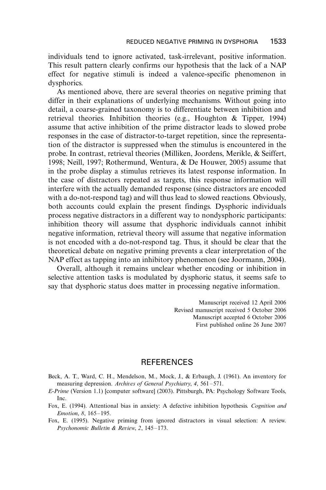individuals tend to ignore activated, task-irrelevant, positive information. This result pattern clearly confirms our hypothesis that the lack of a NAP effect for negative stimuli is indeed a valence-specific phenomenon in dysphorics.

As mentioned above, there are several theories on negative priming that differ in their explanations of underlying mechanisms. Without going into detail, a coarse-grained taxonomy is to differentiate between inhibition and retrieval theories. Inhibition theories (e.g., Houghton & Tipper, 1994) assume that active inhibition of the prime distractor leads to slowed probe responses in the case of distractor-to-target repetition, since the representation of the distractor is suppressed when the stimulus is encountered in the probe. In contrast, retrieval theories (Milliken, Joordens, Merikle, & Seiffert, 1998; Neill, 1997; Rothermund, Wentura, & De Houwer, 2005) assume that in the probe display a stimulus retrieves its latest response information. In the case of distractors repeated as targets, this response information will interfere with the actually demanded response (since distractors are encoded with a do-not-respond tag) and will thus lead to slowed reactions. Obviously, both accounts could explain the present findings. Dysphoric individuals process negative distractors in a different way to nondysphoric participants: inhibition theory will assume that dysphoric individuals cannot inhibit negative information, retrieval theory will assume that negative information is not encoded with a do-not-respond tag. Thus, it should be clear that the theoretical debate on negative priming prevents a clear interpretation of the NAP effect as tapping into an inhibitory phenomenon (see Joormann, 2004).

Overall, although it remains unclear whether encoding or inhibition in selective attention tasks is modulated by dysphoric status, it seems safe to say that dysphoric status does matter in processing negative information.

> Manuscript received 12 April 2006 Revised manuscript received 5 October 2006 Manuscript accepted 6 October 2006 First published online 26 June 2007

#### REFERENCES

- Beck, A. T., Ward, C. H., Mendelson, M., Mock, J., & Erbaugh, J. (1961). An inventory for measuring depression. Archives of General Psychiatry, 4,  $561-571$ .
- E-Prime (Version 1.1) [computer software] (2003). Pittsburgh, PA: Psychology Software Tools, Inc.
- Fox, E. (1994). Attentional bias in anxiety: A defective inhibition hypothesis. Cognition and Emotion, 8, 165-195.
- Fox, E. (1995). Negative priming from ignored distractors in visual selection: A review. Psychonomic Bulletin & Review, 2, 145-173.